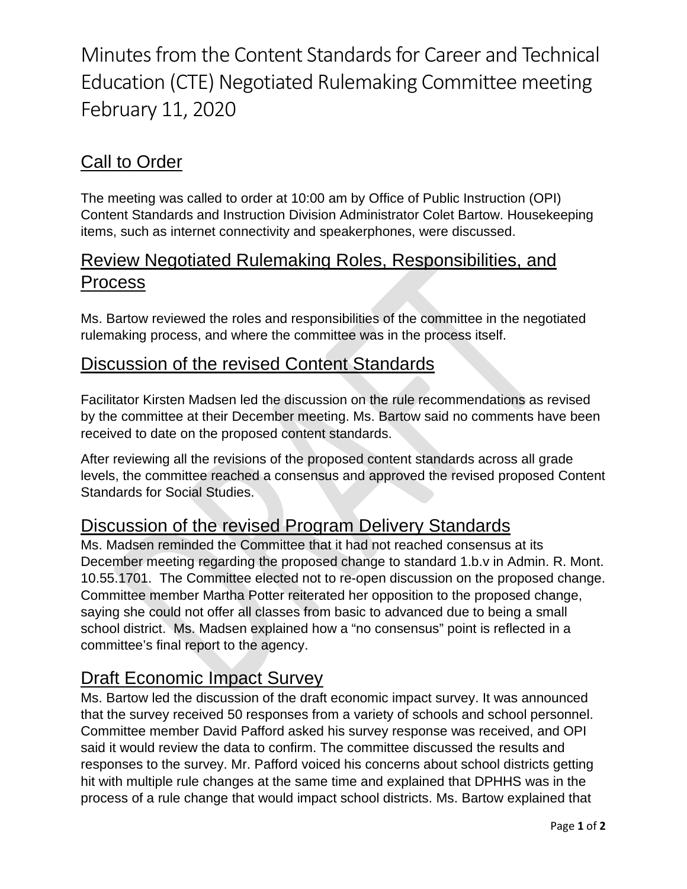Minutes from the Content Standards for Career and Technical Education (CTE) Negotiated Rulemaking Committee meeting February 11, 2020

## Call to Order

The meeting was called to order at 10:00 am by Office of Public Instruction (OPI) Content Standards and Instruction Division Administrator Colet Bartow. Housekeeping items, such as internet connectivity and speakerphones, were discussed.

## Review Negotiated Rulemaking Roles, Responsibilities, and Process

Ms. Bartow reviewed the roles and responsibilities of the committee in the negotiated rulemaking process, and where the committee was in the process itself.

#### Discussion of the revised Content Standards

Facilitator Kirsten Madsen led the discussion on the rule recommendations as revised by the committee at their December meeting. Ms. Bartow said no comments have been received to date on the proposed content standards.

After reviewing all the revisions of the proposed content standards across all grade levels, the committee reached a consensus and approved the revised proposed Content Standards for Social Studies.

### Discussion of the revised Program Delivery Standards

Ms. Madsen reminded the Committee that it had not reached consensus at its December meeting regarding the proposed change to standard 1.b.v in Admin. R. Mont. 10.55.1701. The Committee elected not to re-open discussion on the proposed change. Committee member Martha Potter reiterated her opposition to the proposed change, saying she could not offer all classes from basic to advanced due to being a small school district. Ms. Madsen explained how a "no consensus" point is reflected in a committee's final report to the agency.

## Draft Economic Impact Survey

Ms. Bartow led the discussion of the draft economic impact survey. It was announced that the survey received 50 responses from a variety of schools and school personnel. Committee member David Pafford asked his survey response was received, and OPI said it would review the data to confirm. The committee discussed the results and responses to the survey. Mr. Pafford voiced his concerns about school districts getting hit with multiple rule changes at the same time and explained that DPHHS was in the process of a rule change that would impact school districts. Ms. Bartow explained that